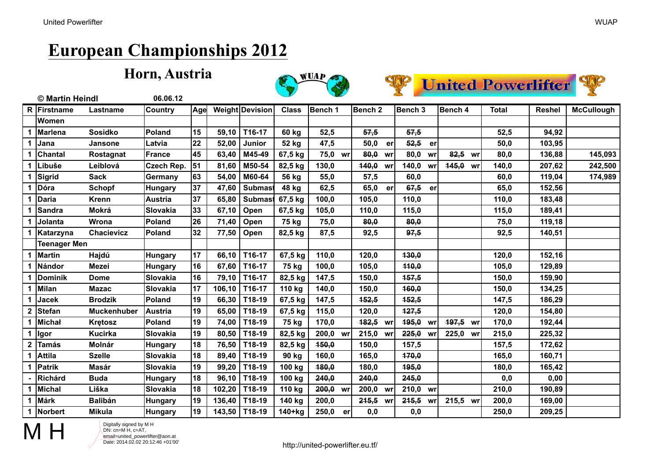#### **Horn, Austria**







|                  | © Martin Heindl     |                    | 06.06.12       |            |        |                        |              |             |                    |             |             |              |               |                   |
|------------------|---------------------|--------------------|----------------|------------|--------|------------------------|--------------|-------------|--------------------|-------------|-------------|--------------|---------------|-------------------|
|                  | R Firstname         | Lastname           | Country        | <b>Age</b> |        | <b>Weight Devision</b> | <b>Class</b> | Bench 1     | Bench <sub>2</sub> | Bench 3     | Bench 4     | <b>Total</b> | <b>Reshel</b> | <b>McCullough</b> |
|                  | Women               |                    |                |            |        |                        |              |             |                    |             |             |              |               |                   |
|                  | Marlena             | <b>Sosidko</b>     | Poland         | 15         | 59,10  | T16-17                 | 60 kg        | 52,5        | 57,5               | 57,5        |             | 52,5         | 94,92         |                   |
| 1                | Jana                | <b>Jansone</b>     | Latvia         | 22         | 52,00  | Junior                 | 52 kg        | 47,5        | 50,0<br>er         | 52,5<br>er  |             | 50,0         | 103,95        |                   |
|                  | Chantal             | Rostagnat          | France         | 45         | 63,40  | M45-49                 | 67,5 kg      | 75,0<br>wr  | 80,0<br>wr         | 80,0<br>wr  | 82,5<br>wr  | 80,0         | 136,88        | 145,093           |
|                  | Libuše              | Leiblová           | Czech Rep.     | 51         | 81,60  | M50-54                 | 82,5 kg      | 130,0       | 440,0 wr           | 140,0<br>wr | 145,0<br>wr | 140,0        | 207,62        | 242,500           |
|                  | Sigrid              | <b>Sack</b>        | Germany        | 63         | 54,00  | M60-64                 | 56 kg        | 55,0        | 57,5               | 60,0        |             | 60,0         | 119,04        | 174,989           |
|                  | Dóra                | <b>Schopf</b>      | Hungary        | 37         | 47,60  | Submast                | 48 kg        | 62,5        | 65,0<br>er         | 67,5<br>er  |             | 65,0         | 152,56        |                   |
|                  | Daria               | <b>Krenn</b>       | <b>Austria</b> | 37         | 65,80  | Submast                | 67,5 kg      | 100,0       | 105,0              | 110,0       |             | 110,0        | 183,48        |                   |
|                  | <b>Sandra</b>       | Mokrá              | Slovakia       | 33         | 67,10  | Open                   | 67,5 kg      | 105,0       | 110,0              | 115,0       |             | 115,0        | 189,41        |                   |
|                  | Jolanta             | Wrona              | Poland         | 26         | 71,40  | Open                   | 75 kg        | 75,0        | 80,0               | 80,0        |             | 75,0         | 119,18        |                   |
|                  | Katarzyna           | <b>Chacievicz</b>  | Poland         | 32         | 77,50  | Open                   | 82,5 kg      | 87,5        | 92,5               | 97,5        |             | 92,5         | 140,51        |                   |
|                  | <b>Teenager Men</b> |                    |                |            |        |                        |              |             |                    |             |             |              |               |                   |
| 1                | Martin              | Hajdú              | Hungary        | 17         | 66,10  | T16-17                 | 67,5 kg      | 110,0       | 120,0              | 130,0       |             | 120,0        | 152,16        |                   |
|                  | Nándor              | Mezei              | Hungary        | 16         | 67,60  | T16-17                 | 75 kg        | 100,0       | 105,0              | 440,0       |             | 105,0        | 129,89        |                   |
|                  | Dominik             | <b>Dome</b>        | Slovakia       | 16         | 79,10  | T16-17                 | 82,5 kg      | 147,5       | 150,0              | 157,5       |             | 150,0        | 159,90        |                   |
|                  | Milan               | <b>Mazac</b>       | Slovakia       | 17         | 106,10 | T16-17                 | 110 kg       | 140,0       | 150,0              | 160,0       |             | 150,0        | 134,25        |                   |
|                  | <b>Jacek</b>        | <b>Brodzik</b>     | Poland         | 19         | 66,30  | T18-19                 | 67,5 kg      | 147,5       | 152,5              | 452,5       |             | 147,5        | 186,29        |                   |
| $\mathbf{2}$     | Stefan              | <b>Muckenhuber</b> | Austria        | 19         | 65,00  | T18-19                 | 67,5 kg      | 115,0       | 120,0              | 427,5       |             | 120,0        | 154,80        |                   |
|                  | Michał              | Krętosz            | Poland         | 19         | 74,00  | T18-19                 | 75 kg        | 170,0       | 182,5 wr           | 495,0<br>wr | 497,5<br>wr | 170,0        | 192,44        |                   |
| 1                | Igor                | <b>Kucirka</b>     | Slovakia       | 19         | 80,50  | T18-19                 | 82,5 kg      | 200,0<br>wr | 215,0 wr           | 225,0<br>wr | 225,0<br>wr | 215,0        | 225,32        |                   |
| $\boldsymbol{2}$ | <b>Tamás</b>        | Molnár             | Hungary        | 18         | 76,50  | T18-19                 | 82,5 kg      | 150,0       | 150,0              | 157,5       |             | 157,5        | 172,62        |                   |
|                  | <b>Attila</b>       | <b>Szelle</b>      | Slovakia       | 18         | 89,40  | T18-19                 | 90 kg        | 160,0       | 165,0              | 470,0       |             | 165,0        | 160,71        |                   |
|                  | Patrik              | Masár              | Slovakia       | 19         | 99,20  | T18-19                 | 100 kg       | 180,0       | 180,0              | 195,0       |             | 180,0        | 165,42        |                   |
|                  | Richárd             | <b>Buda</b>        | Hungary        | 18         | 96,10  | T18-19                 | 100 kg       | 240,0       | 240,0              | 245,0       |             | 0,0          | 0,00          |                   |
| 1                | Michal              | Liška              | Slovakia       | 18         | 102,20 | T18-19                 | 110 kg       | 200,0<br>wr | 200,0<br>wr        | 210,0<br>wr |             | 210,0        | 190,89        |                   |
|                  | Márk                | <b>Balibán</b>     | <b>Hungary</b> | 19         | 136,40 | T18-19                 | 140 kg       | 200,0       | 215,5<br>wr        | 245,5<br>wr | 215,5<br>wr | 200,0        | 169,00        |                   |
|                  | 1 Norbert           | <b>Mikula</b>      | <b>Hungary</b> | 19         | 143,50 | T18-19                 | 140+kg       | 250,0<br>er | 0,0                | 0,0         |             | 250,0        | 209,25        |                   |



Digitally signed by M H<br>DN: cn=M H, c=AT,<br>email=united\_powerlifte DN: cn=M H, c=AT, email=united\_powerlifter@aon.at Date: 2014.02.02 20:12:46 +01'00'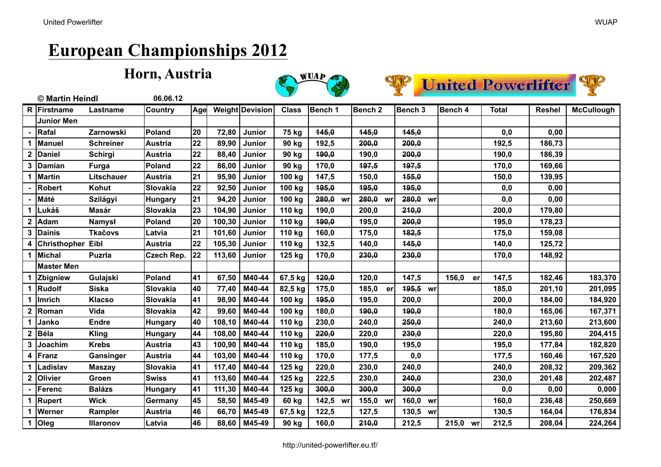





|              | © Martin Heindl          |                  | 06.06.12       |     |        |                 |              |             |                    |                    |             |              |               |                   |
|--------------|--------------------------|------------------|----------------|-----|--------|-----------------|--------------|-------------|--------------------|--------------------|-------------|--------------|---------------|-------------------|
|              | R Firstname              | Lastname         | Country        | Age |        | Weight Devision | <b>Class</b> | Bench 1     | Bench <sub>2</sub> | Bench 3            | Bench 4     | <b>Total</b> | <b>Reshel</b> | <b>McCullough</b> |
|              | <b>Junior Men</b>        |                  |                |     |        |                 |              |             |                    |                    |             |              |               |                   |
|              | Rafal                    | Zarnowski        | <b>Poland</b>  | 20  | 72,80  | <b>Junior</b>   | 75 kg        | 445,0       | 145,0              | 145,0              |             | 0,0          | 0,00          |                   |
|              | Manuel                   | <b>Schreiner</b> | <b>Austria</b> | 22  | 89,90  | <b>Junior</b>   | 90 kg        | 192,5       | 200,0              | 200,0              |             | 192,5        | 186,73        |                   |
| $\mathbf{2}$ | Daniel                   | Schirgi          | <b>Austria</b> | 22  | 88,40  | <b>Junior</b>   | 90 kg        | 190,0       | 190,0              | 200,0              |             | 190,0        | 186,39        |                   |
| 3            | Damian                   | Furga            | Poland         | 22  | 86,00  | <b>Junior</b>   | 90 kg        | 170,0       | 197,5              | 197,5              |             | 170,0        | 169,66        |                   |
| 1            | Martin                   | Litschauer       | <b>Austria</b> | 21  | 95,90  | Junior          | 100 kg       | 147,5       | 150,0              | 155,0              |             | 150,0        | 139,95        |                   |
|              | <b>Robert</b>            | Kohut            | Slovakia       | 22  | 92,50  | Junior          | 100 kg       | 495,0       | 195,0              | 495,0              |             | 0,0          | 0,00          |                   |
|              | Máté                     | Szilágyi         | <b>Hungary</b> | 21  | 94,20  | Junior          | 100 kg       | 280,0<br>wr | 280,0<br>wr        | 280,0<br>wr        |             | 0,0          | 0,00          |                   |
|              | Lukáš                    | Masár            | Slovakia       | 23  | 104,90 | <b>Junior</b>   | 110 kg       | 190,0       | 200,0              | 210,0              |             | 200,0        | 179,80        |                   |
| $\mathbf{2}$ | Adam                     | <b>Namysł</b>    | Poland         | 20  | 100,30 | Junior          | 110 kg       | 190,0       | 195,0              | 200,0              |             | 195,0        | 178,23        |                   |
| 3            | <b>Dainis</b>            | <b>Tkacovs</b>   | Latvia         | 21  | 101,60 | Junior          | 110 kg       | 160,0       | 175,0              | 182,5              |             | 175,0        | 159,08        |                   |
| 4            | <b>Christhopher Eibl</b> |                  | <b>Austria</b> | 22  | 105,30 | Junior          | 110 kg       | 132,5       | 140,0              | 145,0              |             | 140,0        | 125,72        |                   |
|              | <b>Michal</b>            | <b>Puzrla</b>    | Czech Rep.     | 22  | 113,60 | Junior          | 125 kg       | 170,0       | 230,0              | 230,0              |             | 170,0        | 148,92        |                   |
|              | <b>Master Men</b>        |                  |                |     |        |                 |              |             |                    |                    |             |              |               |                   |
|              | Zbigniew                 | Gulajski         | Poland         | 41  | 67,50  | M40-44          | 67,5 kg      | 420,0       | 120,0              | 147,5              | 156,0<br>er | 147,5        | 182,46        | 183,370           |
| 1            | Rudolf                   | <b>Siska</b>     | Slovakia       | 40  | 77,40  | M40-44          | 82,5 kg      | 175,0       | 185,0<br>er        | <b>195,5</b><br>wr |             | 185,0        | 201,10        | 201,095           |
|              | Imrich                   | <b>Klacso</b>    | Slovakia       | 41  | 98,90  | M40-44          | 100 kg       | 495,0       | 195,0              | 200,0              |             | 200,0        | 184,00        | 184,920           |
| $\mathbf{2}$ | Roman                    | Vida             | Slovakia       | 42  | 99,60  | M40-44          | 100 kg       | 180,0       | 190,0              | 490,0              |             | 180,0        | 165,06        | 167,371           |
|              | Janko                    | <b>Endre</b>     | <b>Hungary</b> | 40  | 108,10 | M40-44          | 110 kg       | 230,0       | 240,0              | 250,0              |             | 240,0        | 213,60        | 213,600           |
| 2            | Béla                     | <b>Kling</b>     | <b>Hungary</b> | 44  | 108,00 | M40-44          | 110 kg       | 220,0       | 220,0              | 230,0              |             | 220,0        | 195,80        | 204,415           |
| 3            | Joachim                  | <b>Krebs</b>     | <b>Austria</b> | 43  | 100,90 | M40-44          | 110 kg       | 185,0       | 190,0              | 195,0              |             | 195,0        | 177,84        | 182,820           |
| 4            | Franz                    | Gansinger        | <b>Austria</b> | 44  | 103,00 | M40-44          | 110 kg       | 170,0       | 177,5              | 0,0                |             | 177,5        | 160,46        | 167,520           |
|              | Ladislav                 | <b>Maszav</b>    | Slovakia       | 41  | 117,40 | M40-44          | 125 kg       | 220.0       | 230,0              | 240,0              |             | 240,0        | 208,32        | 209,362           |
| $\mathbf 2$  | Olivier                  | Groen            | <b>Swiss</b>   | 41  | 113,60 | M40-44          | 125 kg       | 222,5       | 230,0              | 240,0              |             | 230,0        | 201,48        | 202,487           |
|              | Ferenc                   | <b>Balázs</b>    | <b>Hungary</b> | 41  | 111,30 | M40-44          | 125 kg       | 300,0       | 300,0              | 300,0              |             | 0,0          | 0,00          | 0,000             |
|              | Rupert                   | <b>Wick</b>      | Germany        | 45  | 58,50  | M45-49          | 60 kg        | 142,5 wr    | 155,0 wr           | 160,0<br>wr        |             | 160,0        | 236,48        | 250,669           |
|              | Werner                   | Rampler          | <b>Austria</b> | 46  | 66,70  | M45-49          | 67,5 kg      | 122,5       | 127,5              | 130,5<br>wr        |             | 130,5        | 164,04        | 176,834           |
| 1            | <b>Oleg</b>              | <b>Illaronov</b> | Latvia         | 46  | 88,60  | M45-49          | 90 kg        | 160,0       | 210,0              | 212,5              | 215,0<br>wr | 212,5        | 208,04        | 224,264           |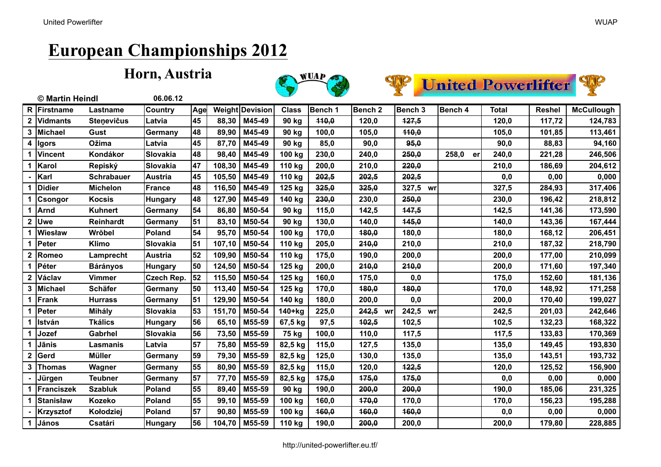





|                | © Martin Heindl  |                   | 06.06.12          |     |        |                 |              |         |                    |             |             |              |               |                   |
|----------------|------------------|-------------------|-------------------|-----|--------|-----------------|--------------|---------|--------------------|-------------|-------------|--------------|---------------|-------------------|
| R              | Firstname        | Lastname          | Country           | Age |        | Weight Devision | <b>Class</b> | Bench 1 | Bench <sub>2</sub> | Bench 3     | Bench 4     | <b>Total</b> | <b>Reshel</b> | <b>McCullough</b> |
| $\mathbf 2$    | <b>Vidmants</b>  | <b>Stenevicus</b> | Latvia            | 45  | 88,30  | M45-49          | 90 kg        | 440,0   | 120,0              | 127,5       |             | 120,0        | 117,72        | 124,783           |
| 3              | Michael          | Gust              | Germany           | 48  | 89,90  | M45-49          | 90 kg        | 100,0   | 105,0              | 440,0       |             | 105,0        | 101,85        | 113,461           |
| 4              | <b>Igors</b>     | <b>Ožima</b>      | Latvia            | 45  | 87,70  | M45-49          | 90 kg        | 85,0    | 90,0               | 95,0        |             | 90,0         | 88,83         | 94,160            |
|                | <b>Vincent</b>   | Kondákor          | Slovakia          | 48  | 98,40  | M45-49          | 100 kg       | 230,0   | 240,0              | 250,0       | 258,0<br>er | 240,0        | 221,28        | 246,506           |
| 1              | Karol            | Repiský           | Slovakia          | 47  | 108,30 | M45-49          | 110 kg       | 200,0   | 210,0              | 220,0       |             | 210,0        | 186,69        | 204,612           |
|                | Karl             | <b>Schrabauer</b> | <b>Austria</b>    | 45  | 105,50 | M45-49          | 110 kg       | 202,5   | 202,5              | 202,5       |             | 0,0          | 0,00          | 0,000             |
|                | <b>Didier</b>    | <b>Michelon</b>   | France            | 48  | 116,50 | M45-49          | 125 kg       | 325,0   | 325,0              | 327,5 wr    |             | 327,5        | 284,93        | 317,406           |
|                | <b>Csongor</b>   | <b>Kocsis</b>     | <b>Hungary</b>    | 48  | 127,90 | M45-49          | 140 kg       | 230,0   | 230,0              | 250,0       |             | 230,0        | 196,42        | 218,812           |
| 1              | <b>Arnd</b>      | Kuhnert           | Germany           | 54  | 86,80  | M50-54          | 90 kg        | 115,0   | 142,5              | 147,5       |             | 142,5        | 141,36        | 173,590           |
| $\overline{2}$ | Uwe              | Reinhardt         | Germany           | 51  | 83,10  | M50-54          | 90 kg        | 130,0   | 140,0              | 145,0       |             | 140,0        | 143,36        | 167,444           |
|                | Wiesław          | Wrŏbel            | Poland            | 54  | 95,70  | M50-54          | 100 kg       | 170,0   | 180,0              | 180,0       |             | 180,0        | 168,12        | 206,451           |
| 1              | Peter            | <b>Klimo</b>      | Slovakia          | 51  | 107,10 | M50-54          | 110 kg       | 205,0   | 210,0              | 210,0       |             | 210,0        | 187,32        | 218,790           |
| $\overline{2}$ | Romeo            | Lamprecht         | <b>Austria</b>    | 52  | 109,90 | M50-54          | 110 kg       | 175,0   | 190,0              | 200,0       |             | 200,0        | 177,00        | 210,099           |
| 1              | Péter            | <b>Bárányos</b>   | <b>Hungary</b>    | 50  | 124,50 | M50-54          | 125 kg       | 200,0   | 210,0              | 210,0       |             | 200,0        | 171,60        | 197,340           |
| $\mathbf{2}$   | Václav           | <b>Vimmer</b>     | <b>Czech Rep.</b> | 52  | 115,50 | M50-54          | 125 kg       | 160,0   | 175,0              | 0,0         |             | 175,0        | 152,60        | 181,136           |
| 3              | Michael          | <b>Schäfer</b>    | Germany           | 50  | 113,40 | M50-54          | 125 kg       | 170,0   | 180,0              | 480,0       |             | 170,0        | 148,92        | 171,258           |
| 1              | Frank            | <b>Hurrass</b>    | Germany           | 51  | 129,90 | M50-54          | 140 kg       | 180,0   | 200,0              | 0,0         |             | 200,0        | 170,40        | 199,027           |
|                | Peter            | Mihály            | Slovakia          | 53  | 151,70 | M50-54          | 140+kg       | 225,0   | 242,5 wr           | 242,5<br>wr |             | 242,5        | 201,03        | 242,646           |
| 1              | <b>István</b>    | <b>Tkálics</b>    | Hungary           | 56  | 65,10  | M55-59          | 67,5 kg      | 97,5    | 402,5              | 102,5       |             | 102,5        | 132,23        | 168,322           |
| 1              | Jozef            | Gabrhel           | Slovakia          | 56  | 73,50  | M55-59          | 75 kg        | 100,0   | 110,0              | 117,5       |             | 117,5        | 133,83        | 170,369           |
| 1              | Jānis            | Lasmanis          | Latvia            | 57  | 75,80  | M55-59          | 82,5 kg      | 115,0   | 127,5              | 135,0       |             | 135,0        | 149,45        | 193,830           |
| $\overline{2}$ | Gerd             | <b>Müller</b>     | Germany           | 59  | 79,30  | M55-59          | 82,5 kg      | 125,0   | 130,0              | 135,0       |             | 135,0        | 143,51        | 193,732           |
| 3              | <b>Thomas</b>    | Wagner            | Germany           | 55  | 80,90  | M55-59          | 82,5 kg      | 115,0   | 120,0              | 122,5       |             | 120,0        | 125,52        | 156,900           |
|                | Jürgen           | <b>Teubner</b>    | Germany           | 57  | 77,70  | M55-59          | 82,5 kg      | 175,0   | 175,0              | 175,0       |             | 0,0          | 0,00          | 0,000             |
| 1              | Franciszek       | <b>Szabluk</b>    | Poland            | 55  | 89,40  | M55-59          | 90 kg        | 190,0   | 200,0              | 200,0       |             | 190,0        | 185,06        | 231,325           |
|                | <b>Stanisław</b> | <b>Kozeko</b>     | Poland            | 55  | 99,10  | M55-59          | 100 kg       | 160,0   | 170,0              | 170,0       |             | 170,0        | 156,23        | 195,288           |
|                | <b>Krzysztof</b> | Kołodziej         | Poland            | 57  | 90,80  | M55-59          | 100 kg       | 160,0   | 160,0              | 460,0       |             | 0,0          | 0,00          | 0,000             |
| 1              | János            | Csatári           | <b>Hungary</b>    | 56  | 104,70 | M55-59          | 110 kg       | 190,0   | 200,0              | 200,0       |             | 200,0        | 179,80        | 228,885           |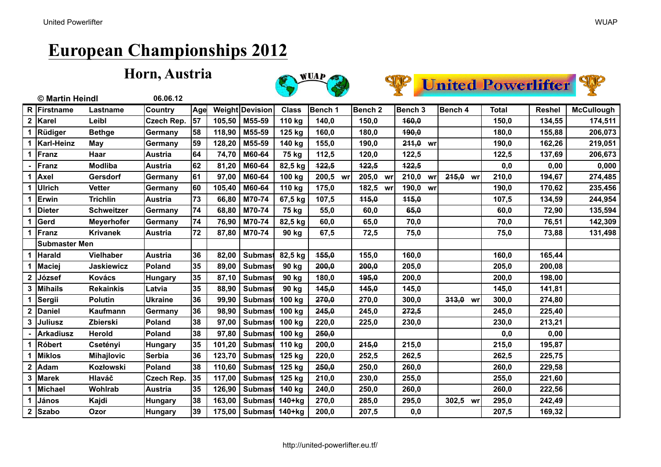





|                | © Martin Heindl      |                   | 06.06.12       |     |        |                 |              |                |                    |             |             |              |               |                   |
|----------------|----------------------|-------------------|----------------|-----|--------|-----------------|--------------|----------------|--------------------|-------------|-------------|--------------|---------------|-------------------|
|                | R Firstname          | Lastname          | Country        | Age |        | Weight Devision | <b>Class</b> | <b>Bench 1</b> | Bench <sub>2</sub> | Bench 3     | Bench 4     | <b>Total</b> | <b>Reshel</b> | <b>McCullough</b> |
| $\mathbf{2}$   | <b>Karel</b>         | Leibl             | Czech Rep.     | 57  | 105,50 | M55-59          | 110 kg       | 140,0          | 150,0              | 160,0       |             | 150,0        | 134,55        | 174,511           |
|                | Rüdiger              | <b>Bethge</b>     | Germany        | 58  | 118,90 | M55-59          | 125 kg       | 160,0          | 180,0              | 490,0       |             | 180,0        | 155,88        | 206,073           |
|                | Karl-Heinz           | May               | Germany        | 59  | 128,20 | M55-59          | 140 kg       | 155,0          | 190,0              | 211,0<br>wr |             | 190,0        | 162,26        | 219,051           |
|                | Franz                | Haar              | <b>Austria</b> | 64  | 74,70  | M60-64          | 75 kg        | 112,5          | 120,0              | 122,5       |             | 122,5        | 137,69        | 206,673           |
|                | Franz                | Modliba           | <b>Austria</b> | 62  | 81,20  | M60-64          | 82,5 kg      | 122,5          | 422,5              | 122,5       |             | 0,0          | 0,00          | 0,000             |
|                | Axel                 | Gersdorf          | Germany        | 61  | 97,00  | M60-64          | 100 kg       | 200,5<br>wr    | 205,0<br>wr        | 210,0<br>wr | 215,0<br>wr | 210,0        | 194,67        | 274,485           |
|                | <b>Ulrich</b>        | <b>Vetter</b>     | Germany        | 60  | 105,40 | M60-64          | 110 kg       | 175,0          | 182,5 wr           | 190,0<br>wr |             | 190,0        | 170,62        | 235,456           |
|                | Erwin                | <b>Trichlin</b>   | <b>Austria</b> | 73  | 66,80  | M70-74          | 67,5 kg      | 107,5          | 115,0              | 115,0       |             | 107,5        | 134,59        | 244,954           |
|                | <b>Dieter</b>        | <b>Schweitzer</b> | Germany        | 74  | 68,80  | M70-74          | 75 kg        | 55,0           | 60,0               | 65,0        |             | 60,0         | 72,90         | 135,594           |
|                | Gerd                 | <b>Meyerhofer</b> | Germany        | 74  | 76,90  | M70-74          | 82,5 kg      | 60,0           | 65,0               | 70,0        |             | 70,0         | 76,51         | 142,309           |
|                | Franz                | <b>Krivanek</b>   | <b>Austria</b> | 72  | 87,80  | M70-74          | 90 kg        | 67,5           | 72,5               | 75,0        |             | 75,0         | 73,88         | 131,498           |
|                | <b>Submaster Men</b> |                   |                |     |        |                 |              |                |                    |             |             |              |               |                   |
|                | Harald               | <b>Vielhaber</b>  | <b>Austria</b> | 36  | 82,00  | <b>Submast</b>  | 82,5 kg      | 155,0          | 155,0              | 160,0       |             | 160,0        | 165,44        |                   |
|                | Maciej               | <b>Jaskiewicz</b> | Poland         | 35  | 89,00  | <b>Submast</b>  | 90 kg        | 200,0          | 200,0              | 205,0       |             | 205,0        | 200,08        |                   |
| $\overline{2}$ | József               | <b>Kovács</b>     | <b>Hungary</b> | 35  | 87,10  | <b>Submast</b>  | 90 kg        | 180,0          | 495,0              | 200,0       |             | 200,0        | 198,00        |                   |
|                | <b>Mihails</b>       | <b>Rekainkis</b>  | Latvia         | 35  | 88,90  | <b>Submast</b>  | 90 kg        | 145,0          | 145,0              | 145,0       |             | 145,0        | 141,81        |                   |
|                | Sergii               | <b>Polutin</b>    | <b>Ukraine</b> | 36  | 99,90  | <b>Submast</b>  | 100 kg       | 270,0          | 270,0              | 300,0       | 313,0<br>wr | 300,0        | 274,80        |                   |
| 2              | <b>Daniel</b>        | Kaufmann          | Germany        | 36  | 98,90  | <b>Submast</b>  | 100 kg       | 245,0          | 245,0              | 272,5       |             | 245,0        | 225,40        |                   |
| 3              | <b>Juliusz</b>       | Zbierski          | Poland         | 38  | 97,00  | <b>Submast</b>  | 100 kg       | 220,0          | 225,0              | 230,0       |             | 230,0        | 213,21        |                   |
|                | <b>Arkadiusz</b>     | Herold            | Poland         | 38  | 97,80  | <b>Submast</b>  | 100 kg       | 250,0          |                    |             |             | 0,0          | 0,00          |                   |
|                | <b>Róbert</b>        | Csetényi          | <b>Hungary</b> | 35  | 101,20 | <b>Submast</b>  | 110 kg       | 200,0          | 215,0              | 215,0       |             | 215,0        | 195,87        |                   |
|                | <b>Miklos</b>        | Mihajlovic        | <b>Serbia</b>  | 36  | 123,70 | <b>Submast</b>  | 125 kg       | 220,0          | 252,5              | 262,5       |             | 262,5        | 225,75        |                   |
|                | Adam                 | Kozłowski         | Poland         | 38  | 110,60 | <b>Submast</b>  | 125 kg       | 250,0          | 250,0              | 260,0       |             | 260,0        | 229,58        |                   |
| 3              | <b>Marek</b>         | Hlaváč            | Czech Rep.     | 35  | 117,00 | <b>Submast</b>  | 125 kg       | 210,0          | 230,0              | 255,0       |             | 255,0        | 221,60        |                   |
|                | <b>Michael</b>       | Wohlrab           | <b>Austria</b> | 35  | 126,90 | <b>Submast</b>  | 140 kg       | 240,0          | 250,0              | 260,0       |             | 260,0        | 222,56        |                   |
| 1              | János                | Kajdi             | <b>Hungary</b> | 38  | 163,00 | <b>Submast</b>  | 140+kg       | 270,0          | 285,0              | 295,0       | 302,5<br>wr | 295,0        | 242,49        |                   |
| $\mathbf 2$    | <b>Szabo</b>         | <b>Ozor</b>       | Hungary        | 39  | 175,00 | <b>Submast</b>  | 140+kg       | 200,0          | 207,5              | 0,0         |             | 207,5        | 169,32        |                   |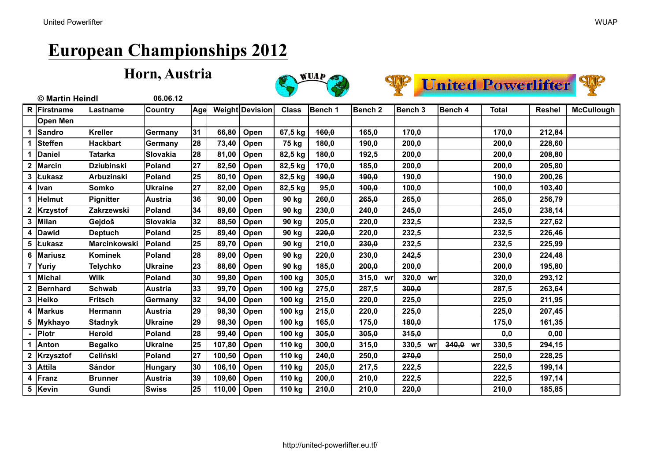





|                | © Martin Heindl |                     | 06.06.12        |     |        |                 |              |         |                    |                |             |       |               |                   |
|----------------|-----------------|---------------------|-----------------|-----|--------|-----------------|--------------|---------|--------------------|----------------|-------------|-------|---------------|-------------------|
|                | R Firstname     | Lastname            | <b>Country</b>  | Age |        | Weight Devision | <b>Class</b> | Bench 1 | Bench <sub>2</sub> | <b>Bench 3</b> | Bench 4     | Total | <b>Reshel</b> | <b>McCullough</b> |
|                | <b>Open Men</b> |                     |                 |     |        |                 |              |         |                    |                |             |       |               |                   |
| 1              | Sandro          | <b>Kreller</b>      | Germany         | 31  | 66,80  | Open            | 67,5 kg      | 160,0   | 165,0              | 170,0          |             | 170,0 | 212,84        |                   |
| 1              | Steffen         | <b>Hackbart</b>     | Germany         | 28  | 73,40  | Open            | 75 kg        | 180,0   | 190,0              | 200,0          |             | 200,0 | 228,60        |                   |
|                | <b>Daniel</b>   | <b>Tatarka</b>      | <b>Slovakia</b> | 28  | 81,00  | Open            | 82,5 kg      | 180,0   | 192,5              | 200,0          |             | 200,0 | 208,80        |                   |
|                | Marcin          | <b>Dziubinski</b>   | Poland          | 27  | 82,50  | Open            | 82,5 kg      | 170,0   | 185,0              | 200,0          |             | 200,0 | 205,80        |                   |
| 3              | <b>Lukasz</b>   | <b>Arbuzinski</b>   | Poland          | 25  | 80,10  | Open            | 82,5 kg      | 490,0   | 190,0              | 190,0          |             | 190,0 | 200,26        |                   |
| 4              | <b>I</b> lvan   | <b>Somko</b>        | <b>Ukraine</b>  | 27  | 82,00  | Open            | 82,5 kg      | 95,0    | 100,0              | 100,0          |             | 100,0 | 103,40        |                   |
|                | lHelmut         | <b>Pignitter</b>    | <b>Austria</b>  | 36  | 90,00  | Open            | 90 kg        | 260,0   | 265,0              | 265,0          |             | 265,0 | 256,79        |                   |
| $\mathbf{2}$   | Krzystof        | Zakrzewski          | <b>Poland</b>   | 34  | 89,60  | Open            | 90 kg        | 230,0   | 240,0              | 245,0          |             | 245,0 | 238,14        |                   |
| 3              | Milan           | Gejdoš              | <b>Slovakia</b> | 32  | 88,50  | Open            | 90 kg        | 205,0   | 220,0              | 232,5          |             | 232,5 | 227,62        |                   |
| 4              | Dawid           | <b>Deptuch</b>      | Poland          | 25  | 89,40  | Open            | 90 kg        | 220,0   | 220,0              | 232,5          |             | 232,5 | 226,46        |                   |
| 5              | <b>Łukasz</b>   | <b>Marcinkowski</b> | <b>Poland</b>   | 25  | 89,70  | Open            | 90 kg        | 210,0   | 230,0              | 232,5          |             | 232,5 | 225,99        |                   |
| 6              | <b>Mariusz</b>  | <b>Kominek</b>      | Poland          | 28  | 89,00  | Open            | 90 kg        | 220,0   | 230,0              | 242,5          |             | 230,0 | 224,48        |                   |
| $\overline{7}$ | Yuriy           | <b>Telychko</b>     | <b>Ukraine</b>  | 23  | 88,60  | Open            | 90 kg        | 185,0   | 200,0              | 200,0          |             | 200,0 | 195,80        |                   |
|                | Michal          | <b>Wilk</b>         | Poland          | 30  | 99,80  | Open            | 100 kg       | 305,0   | 315,0<br>wr        | 320,0<br>wr    |             | 320,0 | 293,12        |                   |
| $\mathbf 2$    | Bernhard        | <b>Schwab</b>       | <b>Austria</b>  | 33  | 99,70  | Open            | 100 kg       | 275,0   | 287,5              | 300,0          |             | 287,5 | 263,64        |                   |
| 3              | Heiko           | Fritsch             | Germany         | 32  | 94,00  | Open            | 100 kg       | 215,0   | 220,0              | 225,0          |             | 225,0 | 211,95        |                   |
|                | <b>Markus</b>   | <b>Hermann</b>      | <b>Austria</b>  | 29  | 98,30  | Open            | 100 kg       | 215,0   | 220,0              | 225,0          |             | 225,0 | 207,45        |                   |
| 5              | Mykhayo         | <b>Stadnyk</b>      | <b>Ukraine</b>  | 29  | 98,30  | Open            | 100 kg       | 165,0   | 175,0              | 180,0          |             | 175,0 | 161,35        |                   |
|                | Piotr           | Herold              | Poland          | 28  | 99,40  | Open            | 100 kg       | 305,0   | 305,0              | 315,0          |             | 0,0   | 0,00          |                   |
|                | Anton           | <b>Begalko</b>      | <b>Ukraine</b>  | 25  | 107,80 | Open            | 110 kg       | 300,0   | 315,0              | 330,5<br>wr    | 340,0<br>wr | 330,5 | 294,15        |                   |
| $\mathbf{2}$   | Krzysztof       | Celiński            | Poland          | 27  | 100,50 | Open            | 110 kg       | 240,0   | 250,0              | 270,0          |             | 250,0 | 228,25        |                   |
| $\mathbf{3}$   | <b>Attila</b>   | Sándor              | <b>Hungary</b>  | 30  | 106,10 | Open            | 110 kg       | 205,0   | 217,5              | 222,5          |             | 222,5 | 199,14        |                   |
| 4              | Franz           | <b>Brunner</b>      | Austria         | 39  | 109,60 | Open            | 110 kg       | 200,0   | 210,0              | 222,5          |             | 222,5 | 197,14        |                   |
|                | 5 Kevin         | Gundi               | <b>Swiss</b>    | 25  | 110,00 | Open            | 110 kg       | 210,0   | 210,0              | 220,0          |             | 210,0 | 185,85        |                   |